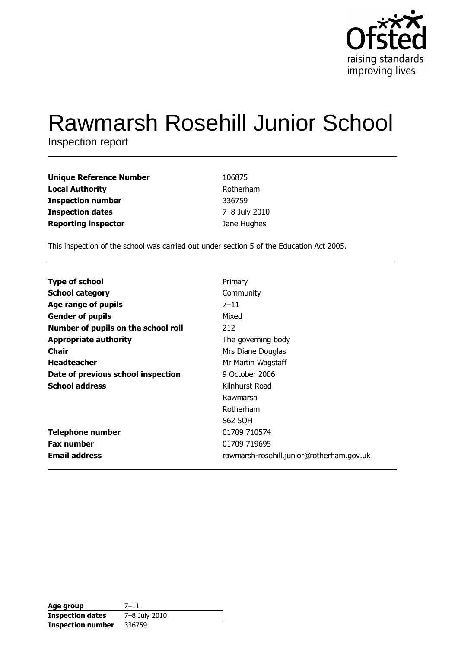

# **Rawmarsh Rosehill Junior School**

Inspection report

| <b>Unique Reference Number</b> | 106875        |
|--------------------------------|---------------|
| <b>Local Authority</b>         | Rotherham     |
| <b>Inspection number</b>       | 336759        |
| <b>Inspection dates</b>        | 7-8 July 2010 |
| <b>Reporting inspector</b>     | Jane Hughes   |

This inspection of the school was carried out under section 5 of the Education Act 2005.

| <b>Type of school</b>               | Primary                                   |
|-------------------------------------|-------------------------------------------|
| <b>School category</b>              | Community                                 |
| Age range of pupils                 | $7 - 11$                                  |
| <b>Gender of pupils</b>             | Mixed                                     |
| Number of pupils on the school roll | 212                                       |
| <b>Appropriate authority</b>        | The governing body                        |
| <b>Chair</b>                        | Mrs Diane Douglas                         |
| <b>Headteacher</b>                  | Mr Martin Wagstaff                        |
| Date of previous school inspection  | 9 October 2006                            |
| <b>School address</b>               | Kilnhurst Road                            |
|                                     | Rawmarsh                                  |
|                                     | Rotherham                                 |
|                                     | S62 5QH                                   |
| <b>Telephone number</b>             | 01709 710574                              |
| <b>Fax number</b>                   | 01709 719695                              |
| <b>Email address</b>                | rawmarsh-rosehill.junior@rotherham.gov.uk |

| Age group                | 7–11          |
|--------------------------|---------------|
| <b>Inspection dates</b>  | 7-8 July 2010 |
| <b>Inspection number</b> | 336759        |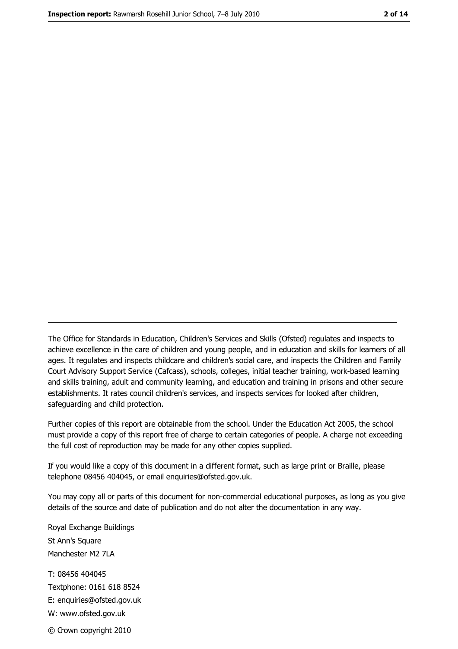The Office for Standards in Education, Children's Services and Skills (Ofsted) regulates and inspects to achieve excellence in the care of children and young people, and in education and skills for learners of all ages. It regulates and inspects childcare and children's social care, and inspects the Children and Family Court Advisory Support Service (Cafcass), schools, colleges, initial teacher training, work-based learning and skills training, adult and community learning, and education and training in prisons and other secure establishments. It rates council children's services, and inspects services for looked after children, safequarding and child protection.

Further copies of this report are obtainable from the school. Under the Education Act 2005, the school must provide a copy of this report free of charge to certain categories of people. A charge not exceeding the full cost of reproduction may be made for any other copies supplied.

If you would like a copy of this document in a different format, such as large print or Braille, please telephone 08456 404045, or email enquiries@ofsted.gov.uk.

You may copy all or parts of this document for non-commercial educational purposes, as long as you give details of the source and date of publication and do not alter the documentation in any way.

Royal Exchange Buildings St Ann's Square Manchester M2 7LA T: 08456 404045 Textphone: 0161 618 8524 E: enquiries@ofsted.gov.uk W: www.ofsted.gov.uk © Crown copyright 2010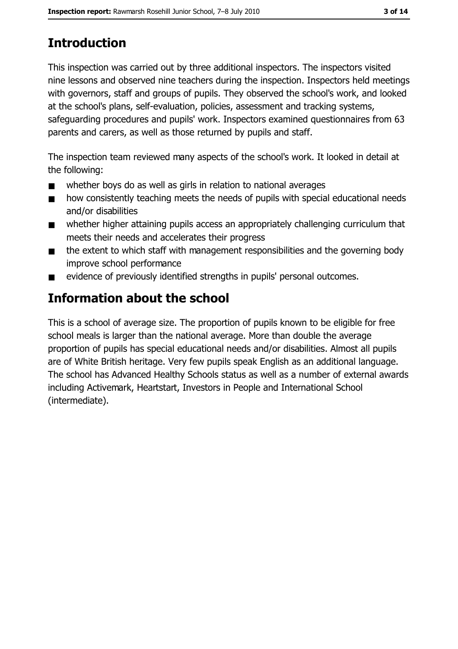# **Introduction**

This inspection was carried out by three additional inspectors. The inspectors visited nine lessons and observed nine teachers during the inspection. Inspectors held meetings with governors, staff and groups of pupils. They observed the school's work, and looked at the school's plans, self-evaluation, policies, assessment and tracking systems, safeguarding procedures and pupils' work. Inspectors examined questionnaires from 63 parents and carers, as well as those returned by pupils and staff.

The inspection team reviewed many aspects of the school's work. It looked in detail at the following:

- whether boys do as well as girls in relation to national averages  $\blacksquare$
- how consistently teaching meets the needs of pupils with special educational needs  $\blacksquare$ and/or disabilities
- whether higher attaining pupils access an appropriately challenging curriculum that  $\blacksquare$ meets their needs and accelerates their progress
- the extent to which staff with management responsibilities and the governing body  $\blacksquare$ improve school performance
- evidence of previously identified strengths in pupils' personal outcomes.  $\blacksquare$

# Information about the school

This is a school of average size. The proportion of pupils known to be eligible for free school meals is larger than the national average. More than double the average proportion of pupils has special educational needs and/or disabilities. Almost all pupils are of White British heritage. Very few pupils speak English as an additional language. The school has Advanced Healthy Schools status as well as a number of external awards including Activemark, Heartstart, Investors in People and International School (intermediate).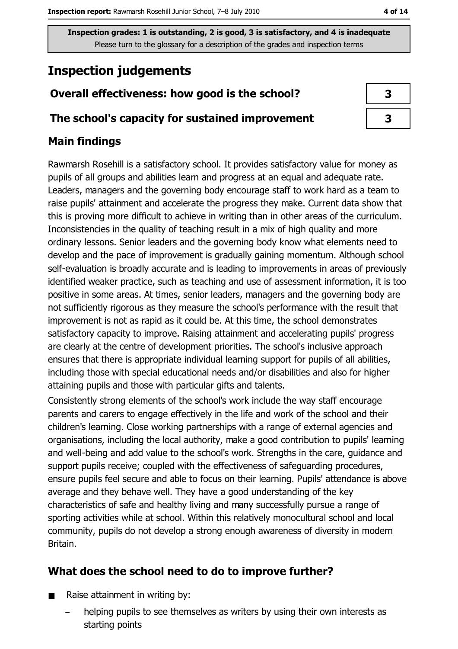# **Inspection judgements**

## Overall effectiveness: how good is the school?

### The school's capacity for sustained improvement

### **Main findings**

Rawmarsh Rosehill is a satisfactory school. It provides satisfactory value for money as pupils of all groups and abilities learn and progress at an equal and adequate rate. Leaders, managers and the governing body encourage staff to work hard as a team to raise pupils' attainment and accelerate the progress they make. Current data show that this is proving more difficult to achieve in writing than in other areas of the curriculum. Inconsistencies in the quality of teaching result in a mix of high quality and more ordinary lessons. Senior leaders and the governing body know what elements need to develop and the pace of improvement is gradually gaining momentum. Although school self-evaluation is broadly accurate and is leading to improvements in areas of previously identified weaker practice, such as teaching and use of assessment information, it is too positive in some areas. At times, senior leaders, managers and the governing body are not sufficiently rigorous as they measure the school's performance with the result that improvement is not as rapid as it could be. At this time, the school demonstrates satisfactory capacity to improve. Raising attainment and accelerating pupils' progress are clearly at the centre of development priorities. The school's inclusive approach ensures that there is appropriate individual learning support for pupils of all abilities, including those with special educational needs and/or disabilities and also for higher attaining pupils and those with particular gifts and talents.

Consistently strong elements of the school's work include the way staff encourage parents and carers to engage effectively in the life and work of the school and their children's learning. Close working partnerships with a range of external agencies and organisations, including the local authority, make a good contribution to pupils' learning and well-being and add value to the school's work. Strengths in the care, guidance and support pupils receive; coupled with the effectiveness of safeguarding procedures, ensure pupils feel secure and able to focus on their learning. Pupils' attendance is above average and they behave well. They have a good understanding of the key characteristics of safe and healthy living and many successfully pursue a range of sporting activities while at school. Within this relatively monocultural school and local community, pupils do not develop a strong enough awareness of diversity in modern Britain.

# What does the school need to do to improve further?

- Raise attainment in writing by:  $\blacksquare$ 
	- helping pupils to see themselves as writers by using their own interests as starting points

| 3 |  |
|---|--|
| 3 |  |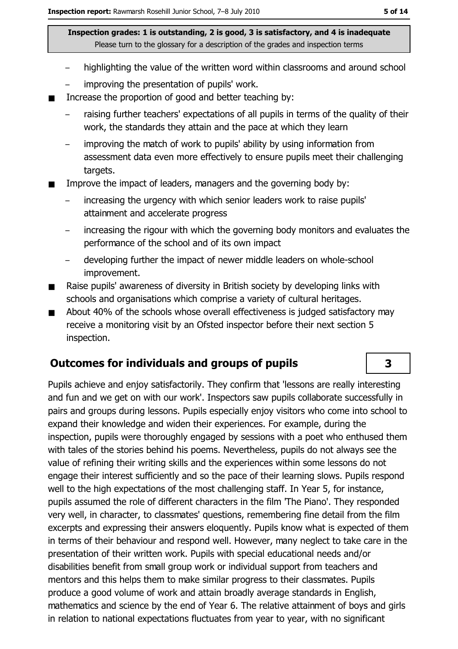- highlighting the value of the written word within classrooms and around school
- improving the presentation of pupils' work.
- Increase the proportion of good and better teaching by:  $\blacksquare$ 
	- raising further teachers' expectations of all pupils in terms of the quality of their work, the standards they attain and the pace at which they learn
	- improving the match of work to pupils' ability by using information from assessment data even more effectively to ensure pupils meet their challenging targets.
- Improve the impact of leaders, managers and the governing body by:
	- increasing the urgency with which senior leaders work to raise pupils' attainment and accelerate progress
	- increasing the rigour with which the governing body monitors and evaluates the  $\overline{\phantom{0}}$ performance of the school and of its own impact
	- developing further the impact of newer middle leaders on whole-school improvement.
- Raise pupils' awareness of diversity in British society by developing links with  $\blacksquare$ schools and organisations which comprise a variety of cultural heritages.
- About 40% of the schools whose overall effectiveness is judged satisfactory may  $\blacksquare$ receive a monitoring visit by an Ofsted inspector before their next section 5 inspection.

### **Outcomes for individuals and groups of pupils**

Pupils achieve and enjoy satisfactorily. They confirm that 'lessons are really interesting and fun and we get on with our work'. Inspectors saw pupils collaborate successfully in pairs and groups during lessons. Pupils especially enjoy visitors who come into school to expand their knowledge and widen their experiences. For example, during the inspection, pupils were thoroughly engaged by sessions with a poet who enthused them with tales of the stories behind his poems. Nevertheless, pupils do not always see the value of refining their writing skills and the experiences within some lessons do not engage their interest sufficiently and so the pace of their learning slows. Pupils respond well to the high expectations of the most challenging staff. In Year 5, for instance, pupils assumed the role of different characters in the film 'The Piano'. They responded very well, in character, to classmates' questions, remembering fine detail from the film excerpts and expressing their answers eloguently. Pupils know what is expected of them in terms of their behaviour and respond well. However, many neglect to take care in the presentation of their written work. Pupils with special educational needs and/or disabilities benefit from small group work or individual support from teachers and mentors and this helps them to make similar progress to their classmates. Pupils produce a good volume of work and attain broadly average standards in English, mathematics and science by the end of Year 6. The relative attainment of boys and girls in relation to national expectations fluctuates from year to year, with no significant

3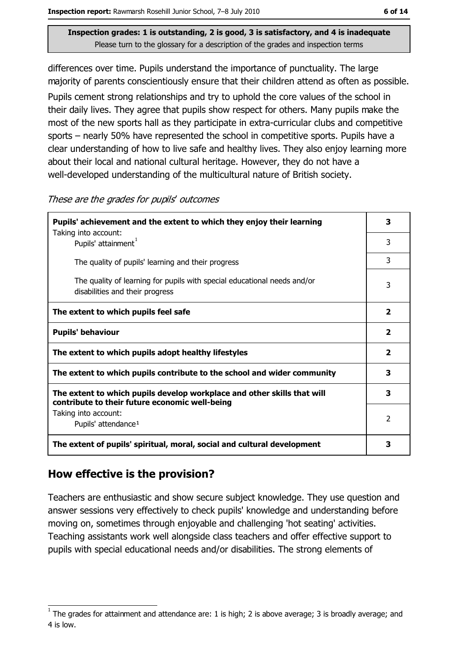differences over time. Pupils understand the importance of punctuality. The large majority of parents conscientiously ensure that their children attend as often as possible. Pupils cement strong relationships and try to uphold the core values of the school in their daily lives. They agree that pupils show respect for others. Many pupils make the most of the new sports hall as they participate in extra-curricular clubs and competitive sports – nearly 50% have represented the school in competitive sports. Pupils have a clear understanding of how to live safe and healthy lives. They also enjoy learning more about their local and national cultural heritage. However, they do not have a well-developed understanding of the multicultural nature of British society.

| nese are the grades for pupils' outcomes                                                                                         |
|----------------------------------------------------------------------------------------------------------------------------------|
| Pupils' achievement and the extent to which they enjoy their learning<br>Taking into account:<br>Pupils' attainment <sup>1</sup> |
| The quality of pupils' learning and their progress                                                                               |
| The quality of learning for pupils with special educational needs and/or<br>disabilities and their progress                      |
|                                                                                                                                  |

ro the aradoctor pupila outcomes

| The extent to which pupils feel safe                                                                                      | 2 |
|---------------------------------------------------------------------------------------------------------------------------|---|
| <b>Pupils' behaviour</b>                                                                                                  | 2 |
| The extent to which pupils adopt healthy lifestyles                                                                       | 2 |
| The extent to which pupils contribute to the school and wider community                                                   | 3 |
| The extent to which pupils develop workplace and other skills that will<br>contribute to their future economic well-being | З |
| Taking into account:<br>Pupils' attendance <sup>1</sup>                                                                   | 2 |
| The extent of pupils' spiritual, moral, social and cultural development                                                   |   |

# How effective is the provision?

Teachers are enthusiastic and show secure subject knowledge. They use question and answer sessions very effectively to check pupils' knowledge and understanding before moving on, sometimes through enjoyable and challenging 'hot seating' activities. Teaching assistants work well alongside class teachers and offer effective support to pupils with special educational needs and/or disabilities. The strong elements of

3

3

 $\overline{\mathbf{3}}$ 

 $\overline{3}$ 

The grades for attainment and attendance are: 1 is high; 2 is above average; 3 is broadly average; and 4 is low.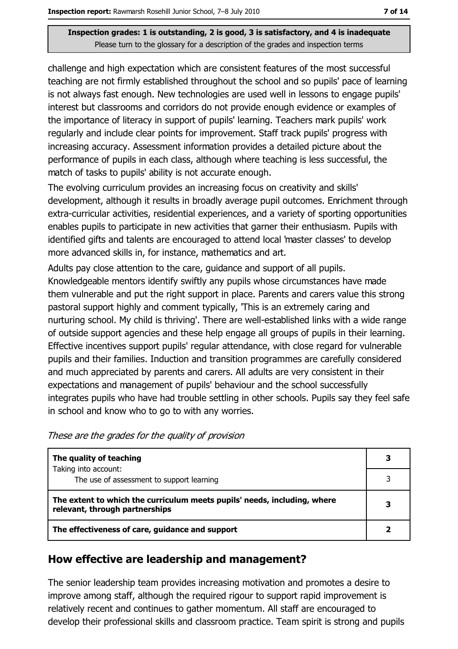challenge and high expectation which are consistent features of the most successful teaching are not firmly established throughout the school and so pupils' pace of learning is not always fast enough. New technologies are used well in lessons to engage pupils' interest but classrooms and corridors do not provide enough evidence or examples of the importance of literacy in support of pupils' learning. Teachers mark pupils' work regularly and include clear points for improvement. Staff track pupils' progress with increasing accuracy. Assessment information provides a detailed picture about the performance of pupils in each class, although where teaching is less successful, the match of tasks to pupils' ability is not accurate enough.

The evolving curriculum provides an increasing focus on creativity and skills' development, although it results in broadly average pupil outcomes. Enrichment through extra-curricular activities, residential experiences, and a variety of sporting opportunities enables pupils to participate in new activities that garner their enthusiasm. Pupils with identified gifts and talents are encouraged to attend local 'master classes' to develop more advanced skills in, for instance, mathematics and art.

Adults pay close attention to the care, guidance and support of all pupils. Knowledgeable mentors identify swiftly any pupils whose circumstances have made them vulnerable and put the right support in place. Parents and carers value this strong pastoral support highly and comment typically, This is an extremely caring and nurturing school. My child is thriving'. There are well-established links with a wide range of outside support agencies and these help engage all groups of pupils in their learning. Effective incentives support pupils' regular attendance, with close regard for vulnerable pupils and their families. Induction and transition programmes are carefully considered and much appreciated by parents and carers. All adults are very consistent in their expectations and management of pupils' behaviour and the school successfully integrates pupils who have had trouble settling in other schools. Pupils say they feel safe in school and know who to go to with any worries.

| These are the grades for the quality of provision |  |  |
|---------------------------------------------------|--|--|
|---------------------------------------------------|--|--|

| The quality of teaching                                                                                    | З |
|------------------------------------------------------------------------------------------------------------|---|
| Taking into account:<br>The use of assessment to support learning                                          |   |
| The extent to which the curriculum meets pupils' needs, including, where<br>relevant, through partnerships |   |
| The effectiveness of care, guidance and support                                                            |   |

### How effective are leadership and management?

The senior leadership team provides increasing motivation and promotes a desire to improve among staff, although the required rigour to support rapid improvement is relatively recent and continues to gather momentum. All staff are encouraged to develop their professional skills and classroom practice. Team spirit is strong and pupils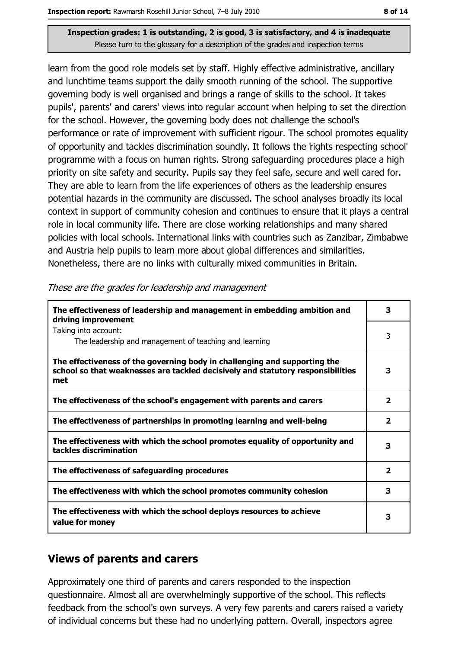learn from the good role models set by staff. Highly effective administrative, ancillary and lunchtime teams support the daily smooth running of the school. The supportive governing body is well organised and brings a range of skills to the school. It takes pupils', parents' and carers' views into regular account when helping to set the direction for the school. However, the governing body does not challenge the school's performance or rate of improvement with sufficient rigour. The school promotes equality of opportunity and tackles discrimination soundly. It follows the rights respecting school' programme with a focus on human rights. Strong safeguarding procedures place a high priority on site safety and security. Pupils say they feel safe, secure and well cared for. They are able to learn from the life experiences of others as the leadership ensures potential hazards in the community are discussed. The school analyses broadly its local context in support of community cohesion and continues to ensure that it plays a central role in local community life. There are close working relationships and many shared policies with local schools. International links with countries such as Zanzibar, Zimbabwe and Austria help pupils to learn more about global differences and similarities. Nonetheless, there are no links with culturally mixed communities in Britain.

| The effectiveness of leadership and management in embedding ambition and<br>driving improvement                                                                     | 3                       |
|---------------------------------------------------------------------------------------------------------------------------------------------------------------------|-------------------------|
| Taking into account:<br>The leadership and management of teaching and learning                                                                                      | 3                       |
| The effectiveness of the governing body in challenging and supporting the<br>school so that weaknesses are tackled decisively and statutory responsibilities<br>met | 3                       |
| The effectiveness of the school's engagement with parents and carers                                                                                                | 2                       |
| The effectiveness of partnerships in promoting learning and well-being                                                                                              | $\overline{\mathbf{2}}$ |
| The effectiveness with which the school promotes equality of opportunity and<br>tackles discrimination                                                              | 3                       |
| The effectiveness of safeguarding procedures                                                                                                                        | $\overline{\mathbf{2}}$ |
| The effectiveness with which the school promotes community cohesion                                                                                                 | 3                       |
| The effectiveness with which the school deploys resources to achieve<br>value for money                                                                             | 3                       |

These are the grades for leadership and management

### **Views of parents and carers**

Approximately one third of parents and carers responded to the inspection questionnaire. Almost all are overwhelmingly supportive of the school. This reflects feedback from the school's own surveys. A very few parents and carers raised a variety of individual concerns but these had no underlying pattern. Overall, inspectors agree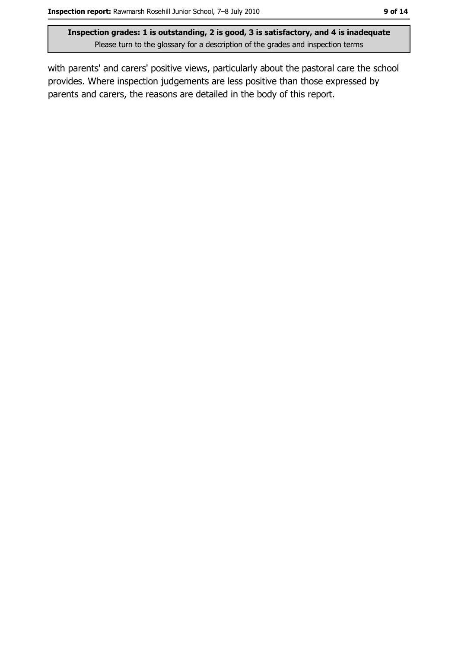with parents' and carers' positive views, particularly about the pastoral care the school provides. Where inspection judgements are less positive than those expressed by parents and carers, the reasons are detailed in the body of this report.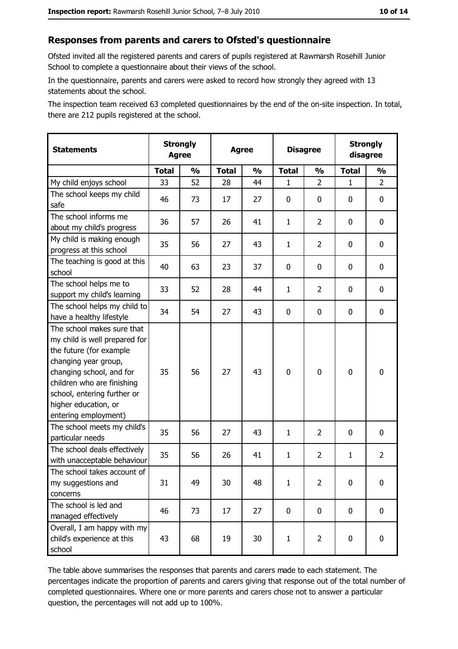#### Responses from parents and carers to Ofsted's questionnaire

Ofsted invited all the registered parents and carers of pupils registered at Rawmarsh Rosehill Junior School to complete a questionnaire about their views of the school.

In the questionnaire, parents and carers were asked to record how strongly they agreed with 13 statements about the school.

The inspection team received 63 completed questionnaires by the end of the on-site inspection. In total, there are 212 pupils registered at the school.

| <b>Statements</b>                                                                                                                                                                                                                                       |              | <b>Strongly</b><br><b>Agree</b> |              | <b>Agree</b>  |              | <b>Disagree</b> |              | <b>Strongly</b><br>disagree |
|---------------------------------------------------------------------------------------------------------------------------------------------------------------------------------------------------------------------------------------------------------|--------------|---------------------------------|--------------|---------------|--------------|-----------------|--------------|-----------------------------|
|                                                                                                                                                                                                                                                         | <b>Total</b> | $\frac{1}{2}$                   | <b>Total</b> | $\frac{0}{0}$ | <b>Total</b> | $\frac{1}{2}$   | <b>Total</b> | $\frac{1}{2}$               |
| My child enjoys school                                                                                                                                                                                                                                  | 33           | 52                              | 28           | 44            | 1            | $\overline{2}$  | $\mathbf{1}$ | $\overline{2}$              |
| The school keeps my child<br>safe                                                                                                                                                                                                                       | 46           | 73                              | 17           | 27            | $\mathbf 0$  | 0               | $\mathbf{0}$ | 0                           |
| The school informs me<br>about my child's progress                                                                                                                                                                                                      | 36           | 57                              | 26           | 41            | $\mathbf{1}$ | $\overline{2}$  | $\mathbf{0}$ | 0                           |
| My child is making enough<br>progress at this school                                                                                                                                                                                                    | 35           | 56                              | 27           | 43            | $\mathbf{1}$ | $\overline{2}$  | 0            | 0                           |
| The teaching is good at this<br>school                                                                                                                                                                                                                  | 40           | 63                              | 23           | 37            | $\mathbf 0$  | 0               | 0            | 0                           |
| The school helps me to<br>support my child's learning                                                                                                                                                                                                   | 33           | 52                              | 28           | 44            | $\mathbf{1}$ | $\overline{2}$  | 0            | 0                           |
| The school helps my child to<br>have a healthy lifestyle                                                                                                                                                                                                | 34           | 54                              | 27           | 43            | $\mathbf 0$  | 0               | 0            | 0                           |
| The school makes sure that<br>my child is well prepared for<br>the future (for example<br>changing year group,<br>changing school, and for<br>children who are finishing<br>school, entering further or<br>higher education, or<br>entering employment) | 35           | 56                              | 27           | 43            | $\mathbf 0$  | 0               | $\mathbf 0$  | 0                           |
| The school meets my child's<br>particular needs                                                                                                                                                                                                         | 35           | 56                              | 27           | 43            | $\mathbf{1}$ | $\overline{2}$  | 0            | 0                           |
| The school deals effectively<br>with unacceptable behaviour                                                                                                                                                                                             | 35           | 56                              | 26           | 41            | $\mathbf{1}$ | $\overline{2}$  | $\mathbf{1}$ | $\overline{2}$              |
| The school takes account of<br>my suggestions and<br>concerns                                                                                                                                                                                           | 31           | 49                              | 30           | 48            | $\mathbf{1}$ | 2               | 0            | 0                           |
| The school is led and<br>managed effectively                                                                                                                                                                                                            | 46           | 73                              | 17           | 27            | $\mathbf 0$  | 0               | 0            | $\mathbf 0$                 |
| Overall, I am happy with my<br>child's experience at this<br>school                                                                                                                                                                                     | 43           | 68                              | 19           | 30            | $\mathbf{1}$ | $\overline{2}$  | $\mathbf 0$  | 0                           |

The table above summarises the responses that parents and carers made to each statement. The percentages indicate the proportion of parents and carers giving that response out of the total number of completed questionnaires. Where one or more parents and carers chose not to answer a particular question, the percentages will not add up to 100%.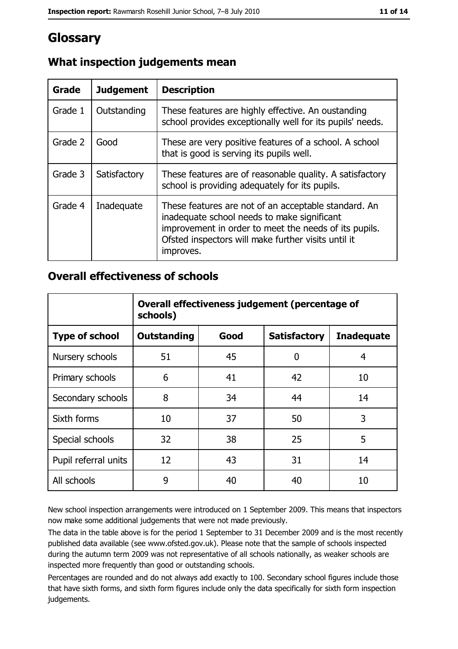# Glossary

| Grade   | <b>Judgement</b> | <b>Description</b>                                                                                                                                                                                                               |
|---------|------------------|----------------------------------------------------------------------------------------------------------------------------------------------------------------------------------------------------------------------------------|
| Grade 1 | Outstanding      | These features are highly effective. An oustanding<br>school provides exceptionally well for its pupils' needs.                                                                                                                  |
| Grade 2 | Good             | These are very positive features of a school. A school<br>that is good is serving its pupils well.                                                                                                                               |
| Grade 3 | Satisfactory     | These features are of reasonable quality. A satisfactory<br>school is providing adequately for its pupils.                                                                                                                       |
| Grade 4 | Inadequate       | These features are not of an acceptable standard. An<br>inadequate school needs to make significant<br>improvement in order to meet the needs of its pupils.<br>Ofsted inspectors will make further visits until it<br>improves. |

# What inspection judgements mean

### **Overall effectiveness of schools**

|                       | Overall effectiveness judgement (percentage of<br>schools) |      |                     |                   |  |
|-----------------------|------------------------------------------------------------|------|---------------------|-------------------|--|
| <b>Type of school</b> | <b>Outstanding</b>                                         | Good | <b>Satisfactory</b> | <b>Inadequate</b> |  |
| Nursery schools       | 51                                                         | 45   | 0                   | 4                 |  |
| Primary schools       | 6                                                          | 41   | 42                  | 10                |  |
| Secondary schools     | 8                                                          | 34   | 44                  | 14                |  |
| Sixth forms           | 10                                                         | 37   | 50                  | 3                 |  |
| Special schools       | 32                                                         | 38   | 25                  | 5                 |  |
| Pupil referral units  | 12                                                         | 43   | 31                  | 14                |  |
| All schools           | 9                                                          | 40   | 40                  | 10                |  |

New school inspection arrangements were introduced on 1 September 2009. This means that inspectors now make some additional judgements that were not made previously.

The data in the table above is for the period 1 September to 31 December 2009 and is the most recently published data available (see www.ofsted.gov.uk). Please note that the sample of schools inspected during the autumn term 2009 was not representative of all schools nationally, as weaker schools are inspected more frequently than good or outstanding schools.

Percentages are rounded and do not always add exactly to 100. Secondary school figures include those that have sixth forms, and sixth form figures include only the data specifically for sixth form inspection judgements.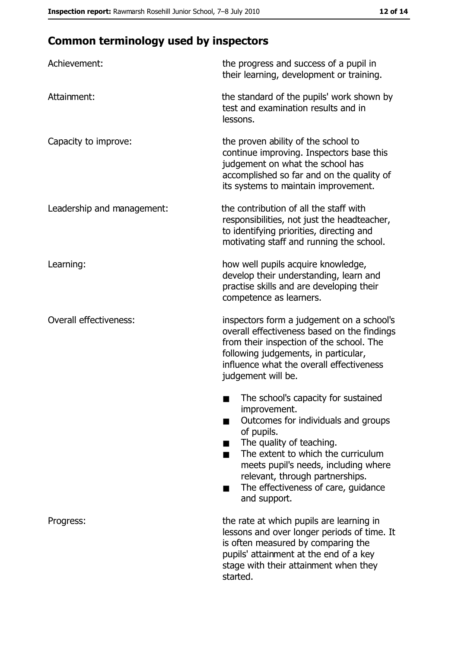# **Common terminology used by inspectors**

| Achievement:                  | the progress and success of a pupil in<br>their learning, development or training.                                                                                                                                                                                                                           |
|-------------------------------|--------------------------------------------------------------------------------------------------------------------------------------------------------------------------------------------------------------------------------------------------------------------------------------------------------------|
| Attainment:                   | the standard of the pupils' work shown by<br>test and examination results and in<br>lessons.                                                                                                                                                                                                                 |
| Capacity to improve:          | the proven ability of the school to<br>continue improving. Inspectors base this<br>judgement on what the school has<br>accomplished so far and on the quality of<br>its systems to maintain improvement.                                                                                                     |
| Leadership and management:    | the contribution of all the staff with<br>responsibilities, not just the headteacher,<br>to identifying priorities, directing and<br>motivating staff and running the school.                                                                                                                                |
| Learning:                     | how well pupils acquire knowledge,<br>develop their understanding, learn and<br>practise skills and are developing their<br>competence as learners.                                                                                                                                                          |
| <b>Overall effectiveness:</b> | inspectors form a judgement on a school's<br>overall effectiveness based on the findings<br>from their inspection of the school. The<br>following judgements, in particular,<br>influence what the overall effectiveness<br>judgement will be.                                                               |
|                               | The school's capacity for sustained<br>improvement.<br>Outcomes for individuals and groups<br>of pupils.<br>The quality of teaching.<br>The extent to which the curriculum<br>meets pupil's needs, including where<br>relevant, through partnerships.<br>The effectiveness of care, guidance<br>and support. |
| Progress:                     | the rate at which pupils are learning in<br>lessons and over longer periods of time. It<br>is often measured by comparing the<br>pupils' attainment at the end of a key<br>stage with their attainment when they<br>started.                                                                                 |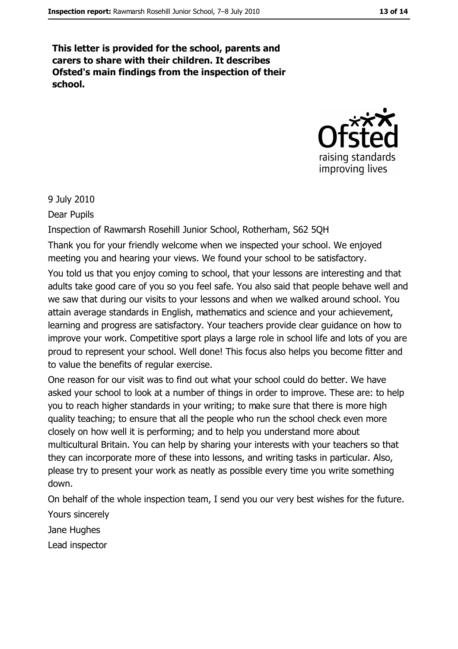This letter is provided for the school, parents and carers to share with their children. It describes Ofsted's main findings from the inspection of their school.



#### 9 July 2010

Dear Pupils

Inspection of Rawmarsh Rosehill Junior School, Rotherham, S62 5QH

Thank you for your friendly welcome when we inspected your school. We enjoyed meeting you and hearing your views. We found your school to be satisfactory.

You told us that you enjoy coming to school, that your lessons are interesting and that adults take good care of you so you feel safe. You also said that people behave well and we saw that during our visits to your lessons and when we walked around school. You attain average standards in English, mathematics and science and your achievement, learning and progress are satisfactory. Your teachers provide clear guidance on how to improve your work. Competitive sport plays a large role in school life and lots of you are proud to represent your school. Well done! This focus also helps you become fitter and to value the benefits of regular exercise.

One reason for our visit was to find out what your school could do better. We have asked your school to look at a number of things in order to improve. These are: to help you to reach higher standards in your writing; to make sure that there is more high quality teaching; to ensure that all the people who run the school check even more closely on how well it is performing; and to help you understand more about multicultural Britain. You can help by sharing your interests with your teachers so that they can incorporate more of these into lessons, and writing tasks in particular. Also, please try to present your work as neatly as possible every time you write something down.

On behalf of the whole inspection team, I send you our very best wishes for the future. Yours sincerely

Jane Hughes

Lead inspector